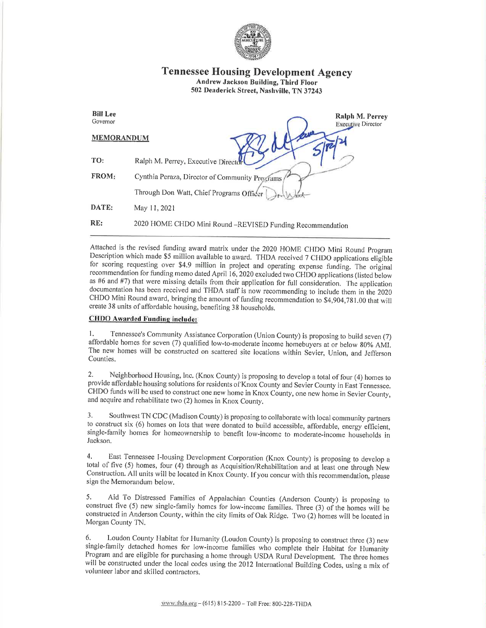

## Tennessee Housing Development Agency Andrew Jackson Building, Third Floor 502 Deaderick Street, Nashville, TN 37243

| <b>Bill Lee</b><br>Governor | Ralph M. Perrey<br><b>Executive Director</b>              |
|-----------------------------|-----------------------------------------------------------|
| <b>MEMORANDUM</b>           |                                                           |
| TO:                         | Ralph M. Perrey, Executive Director                       |
| FROM:                       | Cynthia Peraza, Director of Community Programs            |
|                             | Through Don Watt, Chief Programs Officer                  |
| DATE:                       | May 11, 2021                                              |
| RE:                         | 2020 HOME CHDO Mini Round -REVISED Funding Recommendation |

Attached is the revised funding award matrix under the 2020 HOME CHDO Mini Round Program<br>Description which made \$5 million available to award. THDA received 7 CHDO applications eligible for scoring requesting over \$4.9 million in project and operating expense funding. The original recommendation for funding memo dated April 16, 2020 excluded two CHDO applications (listed below as #6 and #7) that were missing details from their application for full consideration. The application documentation has been received and THDA staff is now recommending to include them in the 2020 CHDO Mini Round award, bringing the amount of firnding recommendation to \$4,904,781.00 that will create 38 units of affordable housing, benefiting 38 households.

## CHDO Awarded Fundine include:

1. Tennessee's Community Assistance Corporation (Union County) is proposing to build seven (7) affordable homes for seven (7) qualified low-to-moderate income homebuyers at or below 80% AMI. The new homes will be constructed on scattered site locations within Sevier, Union, and Jefferson Counties.

2, Neighborhood Housing, lnc. (Knox County) is proposing to develop a total of four (4) homes to provide affordable housing solutions for residents of Knox County and Sevier County in East Tennessee. CHDO funds will be used to construct one new home in Knox County, one new home in Sevier County, and acquire and rehabilitate two (2) homes in Knox County.

3. Southwest TN CDC (Madison County) is proposing to collaborate with local community partners to construct six (6) homes on lots that were donated to build accessible, affordable, energy efficient, single-family homes for homeownership to benefit low-income to moderate-income households in Jackson.

4. East Tennessee I-lousing Development Corporation (Knox County) is proposing to develop <sup>a</sup> total of five (5) homes, four (4) through as Acquisition/Rehabilitation and at least one through New Construction. All units will be located in Knox County. If you concur with this recommendation, please sign the Memorandum below.

5. Aid To Distressed Families of Appalachian Counties (Anderson County) is proposing to construct five (5) new single-family homes for low-income families. Three (3) of the homes will be constructed in Anderson County, within the city limits of Oak Ridge. Two (2) homes will be located in Morgan County TN.

6: Loudon County Habitat for Humanity (Loudon County) is proposing to construct three (3) new single-family detached homes for low-income families who complete their Habitat for Humanity<br>Program and are eligible for purchasing a home through USDA Rural Development. The three homes will be constructed under the local codes using the 2012 International Building Codes, using a mix of volunteer labor and skilled contractors.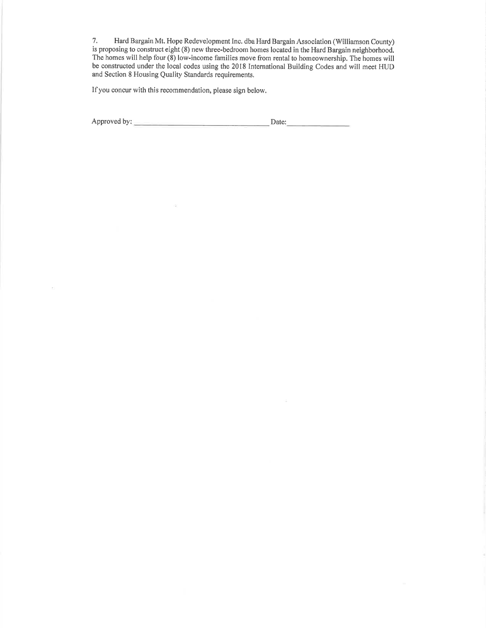7. Hard Bargain Mt. Hope Redevelopment Inc. dba Hard Bargain Association (Williamson County) is proposing to construct eight (8) new three-bedroom homes located in the Hard Bargain neighborhood. The homes will help four (8) low-income families move from rental to homeownership. The homes will be constructed under the local codes using the 2018 International Building Codes and will meet HUD and Section 8 Housing Quality Standards requirements.

If you concur with this recommendation, please sign below,

ú.

 $\overline{\epsilon}$ 

Approved by: Date:\_